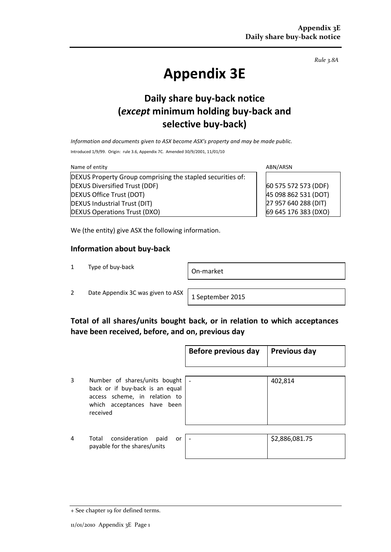*Rule 3.8A*

# **Appendix 3E**

# **Daily share buy-back notice (***except* **minimum holding buy-back and selective buy-back)**

*Information and documents given to ASX become ASX's property and may be made public.*

Introduced 1/9/99. Origin: rule 3.6, Appendix 7C. Amended 30/9/2001, 11/01/10

Name of entity and the state of entity and the state of entity and the state of entity and the state of entity  $\Delta$ BN/ARSN DEXUS Property Group comprising the stapled securities of: DEXUS Diversified Trust (DDF) DEXUS Office Trust (DOT) DEXUS Industrial Trust (DIT) DEXUS Operations Trust (DXO)

60 575 572 573 (DDF) 45 098 862 531 (DOT) 27 957 640 288 (DIT) 69 645 176 383 (DXO)

We (the entity) give ASX the following information.

#### **Information about buy-back**

<sup>1</sup> Type of buy-back On-market

2 Date Appendix 3C was given to ASX  $\left| \right.$  1 September 2015

## **Total of all shares/units bought back, or in relation to which acceptances have been received, before, and on, previous day**

|   |                                                                                                                                              | Before previous day      | <b>Previous day</b> |
|---|----------------------------------------------------------------------------------------------------------------------------------------------|--------------------------|---------------------|
|   |                                                                                                                                              |                          |                     |
| 3 | Number of shares/units bought<br>back or if buy-back is an equal<br>access scheme, in relation to<br>which acceptances have been<br>received |                          | 402,814             |
|   |                                                                                                                                              |                          |                     |
| 4 | consideration<br>Total<br>paid<br>or<br>payable for the shares/units                                                                         | $\overline{\phantom{a}}$ | \$2,886,081.75      |

<sup>+</sup> See chapter 19 for defined terms.